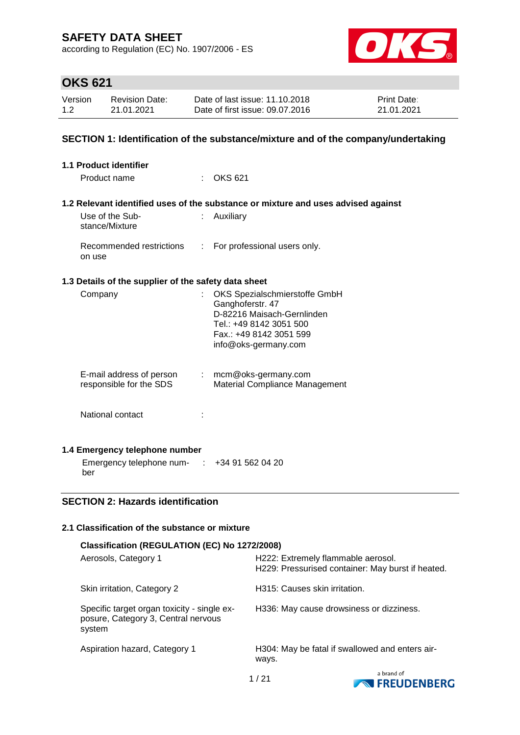according to Regulation (EC) No. 1907/2006 - ES



# **OKS 621**

| Version | <b>Revision Date:</b> | Date of last issue: 11.10.2018  | <b>Print Date:</b> |
|---------|-----------------------|---------------------------------|--------------------|
| 1.2     | 21.01.2021            | Date of first issue: 09.07.2016 | 21.01.2021         |

### **SECTION 1: Identification of the substance/mixture and of the company/undertaking**

| <b>1.1 Product identifier</b>                        |                  |                                                                                   |
|------------------------------------------------------|------------------|-----------------------------------------------------------------------------------|
| Product name                                         | $\epsilon$       | <b>OKS 621</b>                                                                    |
|                                                      |                  | 1.2 Relevant identified uses of the substance or mixture and uses advised against |
|                                                      |                  |                                                                                   |
| Use of the Sub-<br>stance/Mixture                    | ÷.               | Auxiliary                                                                         |
| Recommended restrictions<br>on use                   | $\mathbb{R}^{n}$ | For professional users only.                                                      |
| 1.3 Details of the supplier of the safety data sheet |                  |                                                                                   |
| Company                                              |                  | : OKS Spezialschmierstoffe GmbH                                                   |
|                                                      |                  | Ganghoferstr. 47                                                                  |
|                                                      |                  | D-82216 Maisach-Gernlinden                                                        |
|                                                      |                  | Tel.: +49 8142 3051 500                                                           |
|                                                      |                  | Fax.: +49 8142 3051 599<br>info@oks-germany.com                                   |
|                                                      |                  |                                                                                   |
| E-mail address of person                             |                  | $:$ mcm@oks-germany.com                                                           |
| responsible for the SDS                              |                  | Material Compliance Management                                                    |
|                                                      |                  |                                                                                   |
| National contact                                     |                  |                                                                                   |
|                                                      |                  |                                                                                   |
| 1.4 Emergency telephone number                       |                  |                                                                                   |
| Emergency telephone num- :                           |                  | +34 91 562 04 20                                                                  |
| ber                                                  |                  |                                                                                   |

### **SECTION 2: Hazards identification**

### **2.1 Classification of the substance or mixture**

| Classification (REGULATION (EC) No 1272/2008)                                                |                                                                                         |  |  |  |
|----------------------------------------------------------------------------------------------|-----------------------------------------------------------------------------------------|--|--|--|
| Aerosols, Category 1                                                                         | H222: Extremely flammable aerosol.<br>H229: Pressurised container: May burst if heated. |  |  |  |
| Skin irritation, Category 2                                                                  | H315: Causes skin irritation.                                                           |  |  |  |
| Specific target organ toxicity - single ex-<br>posure, Category 3, Central nervous<br>system | H336: May cause drowsiness or dizziness.                                                |  |  |  |
| Aspiration hazard, Category 1                                                                | H304: May be fatal if swallowed and enters air-<br>ways.                                |  |  |  |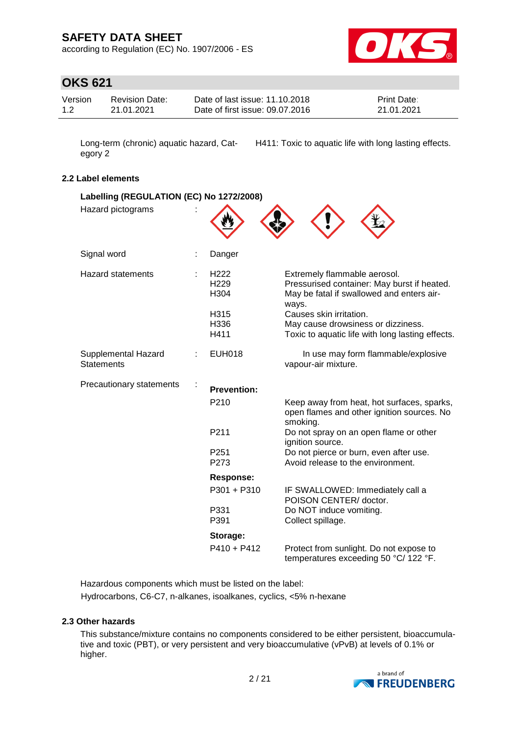according to Regulation (EC) No. 1907/2006 - ES



# **OKS 621**

| Version | <b>Revision Date:</b> | Date of last issue: 11.10.2018  | <b>Print Date:</b> |
|---------|-----------------------|---------------------------------|--------------------|
| 1.2     | 21.01.2021            | Date of first issue: 09.07.2016 | 21.01.2021         |

egory 2

Long-term (chronic) aquatic hazard, Cat-H411: Toxic to aquatic life with long lasting effects.

### **2.2 Label elements**

| Labelling (REGULATION (EC) No 1272/2008) |                                              |                                                                                                                                   |  |  |
|------------------------------------------|----------------------------------------------|-----------------------------------------------------------------------------------------------------------------------------------|--|--|
| Hazard pictograms                        |                                              |                                                                                                                                   |  |  |
| Signal word                              | Danger                                       |                                                                                                                                   |  |  |
| <b>Hazard statements</b>                 | H <sub>222</sub><br>H <sub>229</sub><br>H304 | Extremely flammable aerosol.<br>Pressurised container: May burst if heated.<br>May be fatal if swallowed and enters air-<br>ways. |  |  |
|                                          | H315<br>H336<br>H411                         | Causes skin irritation.<br>May cause drowsiness or dizziness.<br>Toxic to aquatic life with long lasting effects.                 |  |  |
| Supplemental Hazard<br><b>Statements</b> | <b>EUH018</b>                                | In use may form flammable/explosive<br>vapour-air mixture.                                                                        |  |  |
| Precautionary statements                 | <b>Prevention:</b>                           |                                                                                                                                   |  |  |
|                                          | P <sub>210</sub>                             | Keep away from heat, hot surfaces, sparks,<br>open flames and other ignition sources. No<br>smoking.                              |  |  |
|                                          | P211                                         | Do not spray on an open flame or other<br>ignition source.                                                                        |  |  |
|                                          | P <sub>251</sub><br>P273                     | Do not pierce or burn, even after use.<br>Avoid release to the environment.                                                       |  |  |
|                                          | Response:                                    |                                                                                                                                   |  |  |
|                                          | P301 + P310                                  | IF SWALLOWED: Immediately call a<br>POISON CENTER/ doctor.                                                                        |  |  |
|                                          | P331<br>P391                                 | Do NOT induce vomiting.<br>Collect spillage.                                                                                      |  |  |
|                                          | Storage:                                     |                                                                                                                                   |  |  |
|                                          | $P410 + P412$                                | Protect from sunlight. Do not expose to<br>temperatures exceeding 50 °C/ 122 °F.                                                  |  |  |

Hazardous components which must be listed on the label: Hydrocarbons, C6-C7, n-alkanes, isoalkanes, cyclics, <5% n-hexane

### **2.3 Other hazards**

This substance/mixture contains no components considered to be either persistent, bioaccumulative and toxic (PBT), or very persistent and very bioaccumulative (vPvB) at levels of 0.1% or higher.

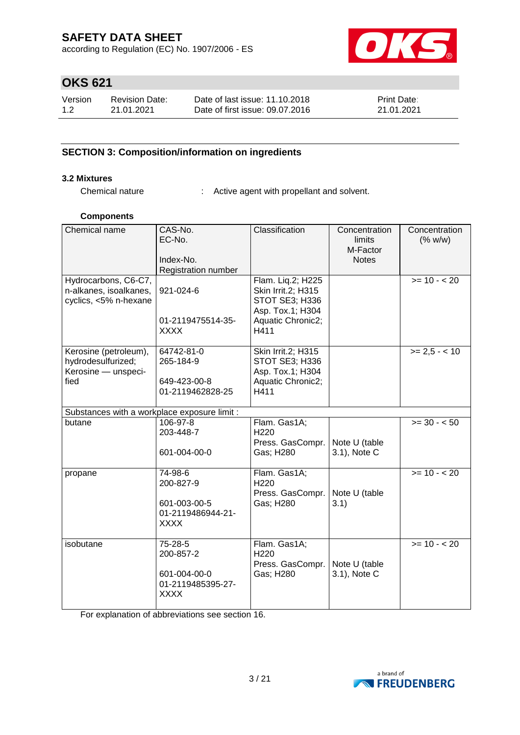according to Regulation (EC) No. 1907/2006 - ES



# **OKS 621**

| Version | Revision Date: | Date of last issue: 11.10.2018  | <b>Print Date:</b> |
|---------|----------------|---------------------------------|--------------------|
| 1.2     | 21.01.2021     | Date of first issue: 09.07.2016 | 21.01.2021         |

### **SECTION 3: Composition/information on ingredients**

### **3.2 Mixtures**

Chemical nature : Active agent with propellant and solvent.

### **Components**

| Chemical name<br>Hydrocarbons, C6-C7,<br>n-alkanes, isoalkanes,<br>cyclics, <5% n-hexane | CAS-No.<br>EC-No.<br>Index-No.<br>Registration number<br>921-024-6<br>01-2119475514-35-<br><b>XXXX</b> | Classification<br>Flam. Liq.2; H225<br>Skin Irrit.2; H315<br>STOT SE3; H336<br>Asp. Tox.1; H304<br>Aquatic Chronic2;<br>H411 | Concentration<br>limits<br>M-Factor<br><b>Notes</b> | Concentration<br>(% w/w)<br>$>= 10 - 20$ |
|------------------------------------------------------------------------------------------|--------------------------------------------------------------------------------------------------------|------------------------------------------------------------------------------------------------------------------------------|-----------------------------------------------------|------------------------------------------|
| Kerosine (petroleum),<br>hydrodesulfurized;<br>Kerosine - unspeci-<br>fied               | 64742-81-0<br>265-184-9<br>649-423-00-8<br>01-2119462828-25                                            | Skin Irrit.2; H315<br>STOT SE3; H336<br>Asp. Tox.1; H304<br>Aquatic Chronic2;<br>H411                                        |                                                     | $>= 2.5 - 10$                            |
| Substances with a workplace exposure limit :                                             |                                                                                                        |                                                                                                                              |                                                     |                                          |
| butane                                                                                   | 106-97-8<br>203-448-7<br>601-004-00-0                                                                  | Flam. Gas1A;<br>H <sub>220</sub><br>Press. GasCompr.<br>Gas; H280                                                            | Note U (table<br>3.1), Note C                       | $>= 30 - 50$                             |
| propane                                                                                  | 74-98-6<br>200-827-9<br>601-003-00-5<br>01-2119486944-21-<br><b>XXXX</b>                               | Flam. Gas1A;<br>H <sub>220</sub><br>Press. GasCompr.<br>Gas; H280                                                            | Note U (table<br>3.1)                               | $>= 10 - 20$                             |
| isobutane                                                                                | 75-28-5<br>200-857-2<br>601-004-00-0<br>01-2119485395-27-<br><b>XXXX</b>                               | Flam. Gas1A;<br>H220<br>Press. GasCompr.<br>Gas; H280                                                                        | Note U (table<br>3.1), Note C                       | $>= 10 - 20$                             |

For explanation of abbreviations see section 16.

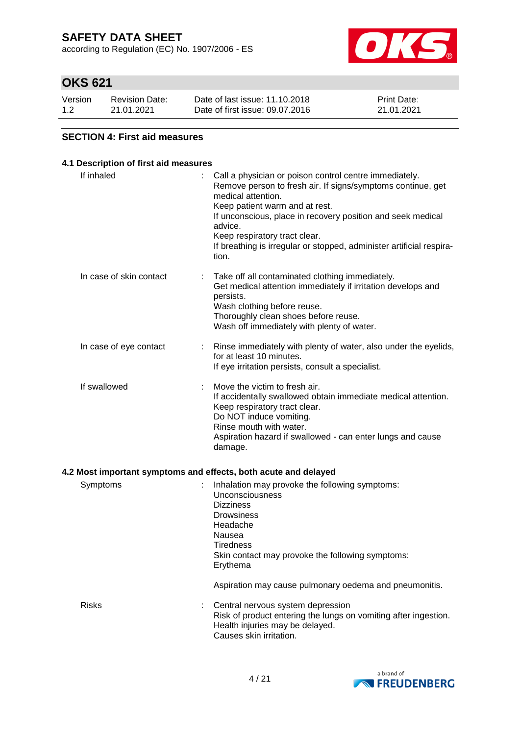according to Regulation (EC) No. 1907/2006 - ES



# **OKS 621**

| Version | <b>Revision Date:</b> | Date of last issue: 11.10.2018  | <b>Print Date:</b> |
|---------|-----------------------|---------------------------------|--------------------|
| 1.2     | 21.01.2021            | Date of first issue: 09.07.2016 | 21.01.2021         |

### **SECTION 4: First aid measures**

### **4.1 Description of first aid measures**

| If inhaled              | Call a physician or poison control centre immediately.<br>Remove person to fresh air. If signs/symptoms continue, get<br>medical attention.<br>Keep patient warm and at rest.<br>If unconscious, place in recovery position and seek medical<br>advice.<br>Keep respiratory tract clear.<br>If breathing is irregular or stopped, administer artificial respira-<br>tion. |
|-------------------------|---------------------------------------------------------------------------------------------------------------------------------------------------------------------------------------------------------------------------------------------------------------------------------------------------------------------------------------------------------------------------|
| In case of skin contact | Take off all contaminated clothing immediately.<br>Get medical attention immediately if irritation develops and<br>persists.<br>Wash clothing before reuse.<br>Thoroughly clean shoes before reuse.<br>Wash off immediately with plenty of water.                                                                                                                         |
| In case of eye contact  | Rinse immediately with plenty of water, also under the eyelids,<br>for at least 10 minutes.<br>If eye irritation persists, consult a specialist.                                                                                                                                                                                                                          |
| If swallowed            | Move the victim to fresh air.<br>If accidentally swallowed obtain immediate medical attention.<br>Keep respiratory tract clear.<br>Do NOT induce vomiting.<br>Rinse mouth with water.<br>Aspiration hazard if swallowed - can enter lungs and cause<br>damage.                                                                                                            |
|                         | 4.2 Most important symptoms and effects, both acute and delayed                                                                                                                                                                                                                                                                                                           |
| Symptoms                | Inhalation may provoke the following symptoms:<br>Unconsciousness<br><b>Dizziness</b><br><b>Drowsiness</b>                                                                                                                                                                                                                                                                |

**Tiredness** Skin contact may provoke the following symptoms: Erythema

Aspiration may cause pulmonary oedema and pneumonitis.

Risks : Central nervous system depression Risk of product entering the lungs on vomiting after ingestion. Health injuries may be delayed. Causes skin irritation.

Headache Nausea

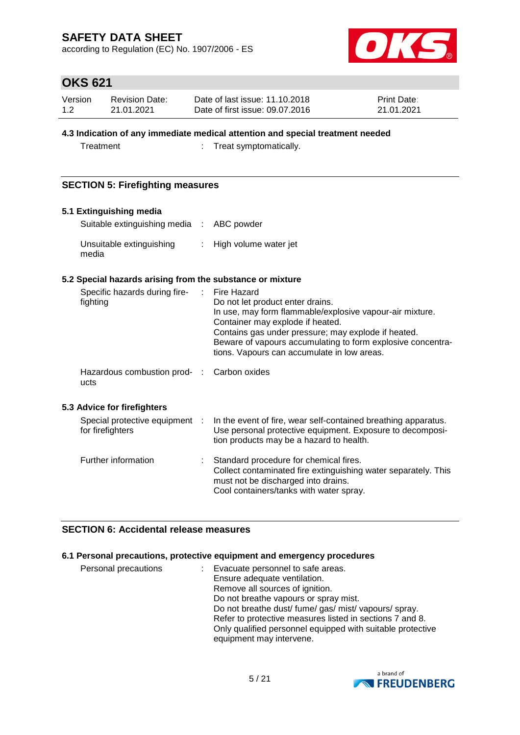according to Regulation (EC) No. 1907/2006 - ES



# **OKS 621**

| Version | <b>Revision Date:</b> | Date of last issue: 11.10.2018  | <b>Print Date:</b> |
|---------|-----------------------|---------------------------------|--------------------|
| 1.2     | 21.01.2021            | Date of first issue: 09.07.2016 | 21.01.2021         |

### **4.3 Indication of any immediate medical attention and special treatment needed**

Treatment : Treat symptomatically.

### **SECTION 5: Firefighting measures**

### **5.1 Extinguishing media**

| Suitable extinguishing media : ABC powder |                         |
|-------------------------------------------|-------------------------|
| Unsuitable extinguishing<br>media         | : High volume water jet |

### **5.2 Special hazards arising from the substance or mixture**

| Specific hazards during fire-<br>fighting          | ÷. | Fire Hazard<br>Do not let product enter drains.<br>In use, may form flammable/explosive vapour-air mixture.<br>Container may explode if heated.<br>Contains gas under pressure; may explode if heated.<br>Beware of vapours accumulating to form explosive concentra-<br>tions. Vapours can accumulate in low areas. |
|----------------------------------------------------|----|----------------------------------------------------------------------------------------------------------------------------------------------------------------------------------------------------------------------------------------------------------------------------------------------------------------------|
| Hazardous combustion prod- :<br>ucts               |    | Carbon oxides                                                                                                                                                                                                                                                                                                        |
| 5.3 Advice for firefighters                        |    |                                                                                                                                                                                                                                                                                                                      |
| Special protective equipment :<br>for firefighters |    | In the event of fire, wear self-contained breathing apparatus.<br>Use personal protective equipment. Exposure to decomposi-<br>tion products may be a hazard to health.                                                                                                                                              |
| Further information                                |    | Standard procedure for chemical fires.<br>Collect contaminated fire extinguishing water separately. This<br>must not be discharged into drains.<br>Cool containers/tanks with water spray.                                                                                                                           |

### **SECTION 6: Accidental release measures**

### **6.1 Personal precautions, protective equipment and emergency procedures**

| Personal precautions | : Evacuate personnel to safe areas.                        |
|----------------------|------------------------------------------------------------|
|                      | Ensure adequate ventilation.                               |
|                      | Remove all sources of ignition.                            |
|                      | Do not breathe vapours or spray mist.                      |
|                      | Do not breathe dust/ fume/ gas/ mist/ vapours/ spray.      |
|                      | Refer to protective measures listed in sections 7 and 8.   |
|                      | Only qualified personnel equipped with suitable protective |
|                      | equipment may intervene.                                   |

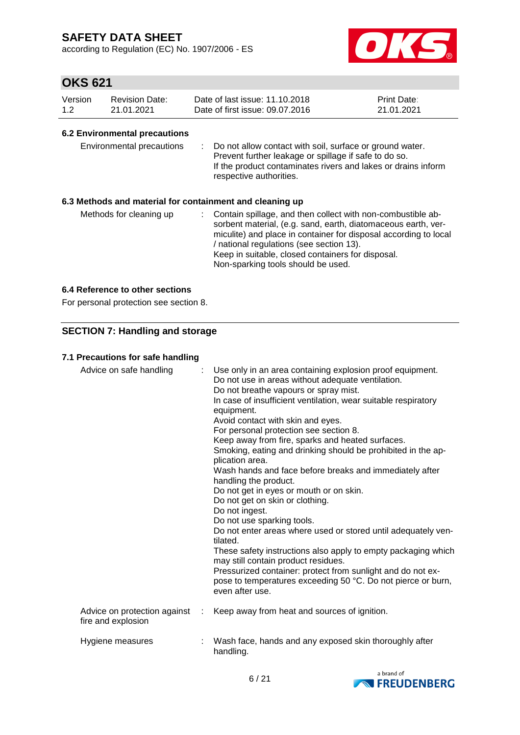according to Regulation (EC) No. 1907/2006 - ES



# **OKS 621**

| Version | <b>Revision Date:</b> | Date of last issue: 11.10.2018  | <b>Print Date:</b> |
|---------|-----------------------|---------------------------------|--------------------|
| 1.2     | 21.01.2021            | Date of first issue: 09.07.2016 | 21.01.2021         |

### **6.2 Environmental precautions**

| Environmental precautions |  | : Do not allow contact with soil, surface or ground water.<br>Prevent further leakage or spillage if safe to do so.<br>If the product contaminates rivers and lakes or drains inform<br>respective authorities. |
|---------------------------|--|-----------------------------------------------------------------------------------------------------------------------------------------------------------------------------------------------------------------|
|---------------------------|--|-----------------------------------------------------------------------------------------------------------------------------------------------------------------------------------------------------------------|

### **6.3 Methods and material for containment and cleaning up**

| Methods for cleaning up |  | : Contain spillage, and then collect with non-combustible ab-<br>sorbent material, (e.g. sand, earth, diatomaceous earth, ver-<br>miculite) and place in container for disposal according to local<br>/ national regulations (see section 13).<br>Keep in suitable, closed containers for disposal.<br>Non-sparking tools should be used. |
|-------------------------|--|-------------------------------------------------------------------------------------------------------------------------------------------------------------------------------------------------------------------------------------------------------------------------------------------------------------------------------------------|
|-------------------------|--|-------------------------------------------------------------------------------------------------------------------------------------------------------------------------------------------------------------------------------------------------------------------------------------------------------------------------------------------|

### **6.4 Reference to other sections**

For personal protection see section 8.

### **SECTION 7: Handling and storage**

### **7.1 Precautions for safe handling**

| Advice on safe handling                            | : Use only in an area containing explosion proof equipment.<br>Do not use in areas without adequate ventilation.<br>Do not breathe vapours or spray mist.<br>In case of insufficient ventilation, wear suitable respiratory<br>equipment.<br>Avoid contact with skin and eyes.<br>For personal protection see section 8.<br>Keep away from fire, sparks and heated surfaces.<br>Smoking, eating and drinking should be prohibited in the ap-<br>plication area.<br>Wash hands and face before breaks and immediately after<br>handling the product.<br>Do not get in eyes or mouth or on skin.<br>Do not get on skin or clothing.<br>Do not ingest.<br>Do not use sparking tools.<br>Do not enter areas where used or stored until adequately ven-<br>tilated.<br>These safety instructions also apply to empty packaging which<br>may still contain product residues.<br>Pressurized container: protect from sunlight and do not ex-<br>pose to temperatures exceeding 50 °C. Do not pierce or burn,<br>even after use. |
|----------------------------------------------------|--------------------------------------------------------------------------------------------------------------------------------------------------------------------------------------------------------------------------------------------------------------------------------------------------------------------------------------------------------------------------------------------------------------------------------------------------------------------------------------------------------------------------------------------------------------------------------------------------------------------------------------------------------------------------------------------------------------------------------------------------------------------------------------------------------------------------------------------------------------------------------------------------------------------------------------------------------------------------------------------------------------------------|
| Advice on protection against<br>fire and explosion | Keep away from heat and sources of ignition.                                                                                                                                                                                                                                                                                                                                                                                                                                                                                                                                                                                                                                                                                                                                                                                                                                                                                                                                                                             |
| Hygiene measures                                   | Wash face, hands and any exposed skin thoroughly after<br>handling.                                                                                                                                                                                                                                                                                                                                                                                                                                                                                                                                                                                                                                                                                                                                                                                                                                                                                                                                                      |

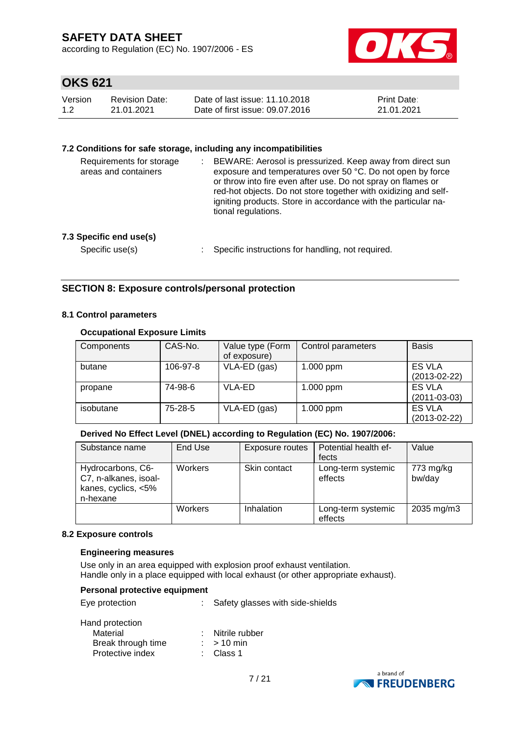according to Regulation (EC) No. 1907/2006 - ES



# **OKS 621**

| Version | <b>Revision Date:</b> | Date of last issue: 11.10.2018  | <b>Print Date:</b> |
|---------|-----------------------|---------------------------------|--------------------|
| 1.2     | 21.01.2021            | Date of first issue: 09.07.2016 | 21.01.2021         |

### **7.2 Conditions for safe storage, including any incompatibilities**

| ÷. | BEWARE: Aerosol is pressurized. Keep away from direct sun<br>exposure and temperatures over 50 °C. Do not open by force<br>or throw into fire even after use. Do not spray on flames or<br>red-hot objects. Do not store together with oxidizing and self-<br>igniting products. Store in accordance with the particular na-<br>tional regulations. |
|----|-----------------------------------------------------------------------------------------------------------------------------------------------------------------------------------------------------------------------------------------------------------------------------------------------------------------------------------------------------|
|    | Specific instructions for handling, not required.                                                                                                                                                                                                                                                                                                   |
|    |                                                                                                                                                                                                                                                                                                                                                     |

### **SECTION 8: Exposure controls/personal protection**

### **8.1 Control parameters**

### **Occupational Exposure Limits**

| Components | CAS-No.  | Value type (Form<br>of exposure) | Control parameters | <b>Basis</b>                 |
|------------|----------|----------------------------------|--------------------|------------------------------|
| butane     | 106-97-8 | VLA-ED (gas)                     | 1.000 ppm          | ES VLA<br>$(2013 - 02 - 22)$ |
| propane    | 74-98-6  | VLA-ED                           | 1.000 ppm          | ES VLA<br>$(2011 - 03 - 03)$ |
| isobutane  | 75-28-5  | VLA-ED (gas)                     | 1.000 ppm          | ES VLA<br>$(2013 - 02 - 22)$ |

### **Derived No Effect Level (DNEL) according to Regulation (EC) No. 1907/2006:**

| Substance name                                                                | End Use | Exposure routes | Potential health ef-          | Value               |
|-------------------------------------------------------------------------------|---------|-----------------|-------------------------------|---------------------|
|                                                                               |         |                 | fects                         |                     |
| Hydrocarbons, C6-<br>C7, n-alkanes, isoal-<br>kanes, cyclics, <5%<br>n-hexane | Workers | Skin contact    | Long-term systemic<br>effects | 773 mg/kg<br>bw/day |
|                                                                               | Workers | Inhalation      | Long-term systemic<br>effects | 2035 mg/m3          |

#### **8.2 Exposure controls**

#### **Engineering measures**

Use only in an area equipped with explosion proof exhaust ventilation. Handle only in a place equipped with local exhaust (or other appropriate exhaust).

#### **Personal protective equipment**

Eye protection : Safety glasses with side-shields

| Hand protection    |                  |
|--------------------|------------------|
| Material           | : Nitrile rubber |
| Break through time | $:$ > 10 min     |
| Protective index   | : Class 1        |
|                    |                  |

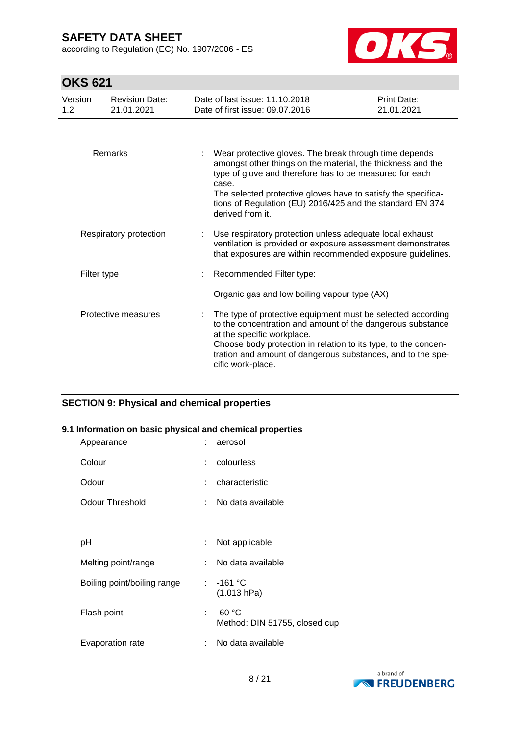according to Regulation (EC) No. 1907/2006 - ES



# **OKS 621**

| Version<br>1.2 <sub>2</sub> | <b>Revision Date:</b><br>21.01.2021 | Date of last issue: 11.10.2018<br>Date of first issue: 09.07.2016                                                                                                                                                                                                                                                                           | Print Date:<br>21.01.2021 |
|-----------------------------|-------------------------------------|---------------------------------------------------------------------------------------------------------------------------------------------------------------------------------------------------------------------------------------------------------------------------------------------------------------------------------------------|---------------------------|
|                             |                                     |                                                                                                                                                                                                                                                                                                                                             |                           |
|                             | Remarks                             | Wear protective gloves. The break through time depends<br>amongst other things on the material, the thickness and the<br>type of glove and therefore has to be measured for each<br>case.<br>The selected protective gloves have to satisfy the specifica-<br>tions of Regulation (EU) 2016/425 and the standard EN 374<br>derived from it. |                           |
|                             | Respiratory protection              | Use respiratory protection unless adequate local exhaust<br>ventilation is provided or exposure assessment demonstrates<br>that exposures are within recommended exposure quidelines.                                                                                                                                                       |                           |
|                             | Filter type                         | Recommended Filter type:                                                                                                                                                                                                                                                                                                                    |                           |
|                             |                                     | Organic gas and low boiling vapour type (AX)                                                                                                                                                                                                                                                                                                |                           |
|                             | Protective measures                 | The type of protective equipment must be selected according<br>to the concentration and amount of the dangerous substance<br>at the specific workplace.<br>Choose body protection in relation to its type, to the concen-<br>tration and amount of dangerous substances, and to the spe-<br>cific work-place.                               |                           |

### **SECTION 9: Physical and chemical properties**

### **9.1 Information on basic physical and chemical properties**

| Appearance                  |    | aerosol                                   |
|-----------------------------|----|-------------------------------------------|
| Colour                      | t  | colourless                                |
| Odour                       | t  | characteristic                            |
| <b>Odour Threshold</b>      | ÷  | No data available                         |
|                             |    |                                           |
| рH                          | ÷  | Not applicable                            |
| Melting point/range         | ÷. | No data available                         |
| Boiling point/boiling range | t. | $-161 °C$<br>(1.013 hPa)                  |
| Flash point                 | ÷  | $-60 °C$<br>Method: DIN 51755, closed cup |
| Evaporation rate            | t  | No data available                         |

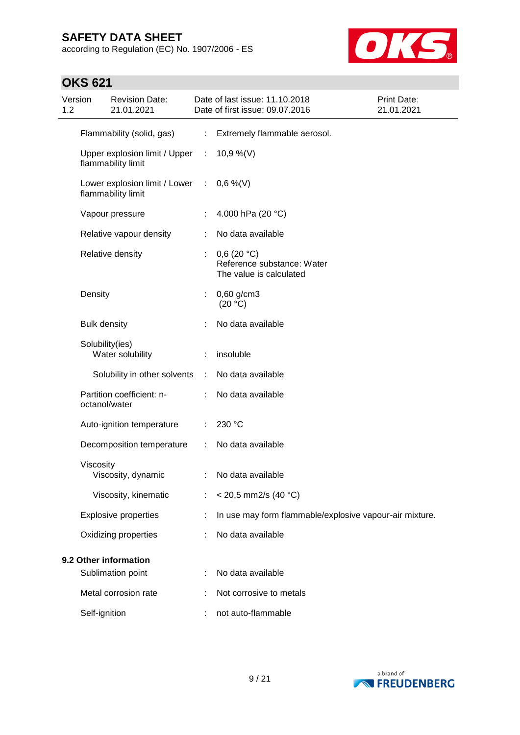according to Regulation (EC) No. 1907/2006 - ES



| Version<br>1.2 |                       | <b>Revision Date:</b><br>21.01.2021                 |                               | Date of last issue: 11.10.2018<br>Date of first issue: 09.07.2016   | Print Date:<br>21.01.2021 |
|----------------|-----------------------|-----------------------------------------------------|-------------------------------|---------------------------------------------------------------------|---------------------------|
|                |                       | Flammability (solid, gas)                           | ÷.                            | Extremely flammable aerosol.                                        |                           |
|                |                       | Upper explosion limit / Upper<br>flammability limit | $\mathcal{I}^{\mathcal{I}}$ . | 10,9 %(V)                                                           |                           |
|                |                       | Lower explosion limit / Lower<br>flammability limit | ÷                             | $0,6\%$ (V)                                                         |                           |
|                |                       | Vapour pressure                                     |                               | 4.000 hPa (20 °C)                                                   |                           |
|                |                       | Relative vapour density                             |                               | No data available                                                   |                           |
|                |                       | Relative density                                    | ÷.                            | 0,6(20 °C)<br>Reference substance: Water<br>The value is calculated |                           |
|                | Density               |                                                     | ÷                             | $0,60$ g/cm3<br>(20 °C)                                             |                           |
|                | <b>Bulk density</b>   |                                                     |                               | No data available                                                   |                           |
|                | Solubility(ies)       | Water solubility                                    |                               | insoluble                                                           |                           |
|                |                       | Solubility in other solvents                        | ÷                             | No data available                                                   |                           |
|                | octanol/water         | Partition coefficient: n-                           | ÷                             | No data available                                                   |                           |
|                |                       | Auto-ignition temperature                           | ÷                             | 230 °C                                                              |                           |
|                |                       | Decomposition temperature                           |                               | No data available                                                   |                           |
|                | Viscosity             | Viscosity, dynamic                                  |                               | No data available                                                   |                           |
|                |                       | Viscosity, kinematic                                |                               | $<$ 20,5 mm2/s (40 °C)                                              |                           |
|                |                       | <b>Explosive properties</b>                         |                               | In use may form flammable/explosive vapour-air mixture.             |                           |
|                |                       | Oxidizing properties                                |                               | No data available                                                   |                           |
|                | 9.2 Other information |                                                     |                               |                                                                     |                           |
|                |                       | Sublimation point                                   |                               | No data available                                                   |                           |
|                |                       | Metal corrosion rate                                |                               | Not corrosive to metals                                             |                           |
|                | Self-ignition         |                                                     |                               | not auto-flammable                                                  |                           |

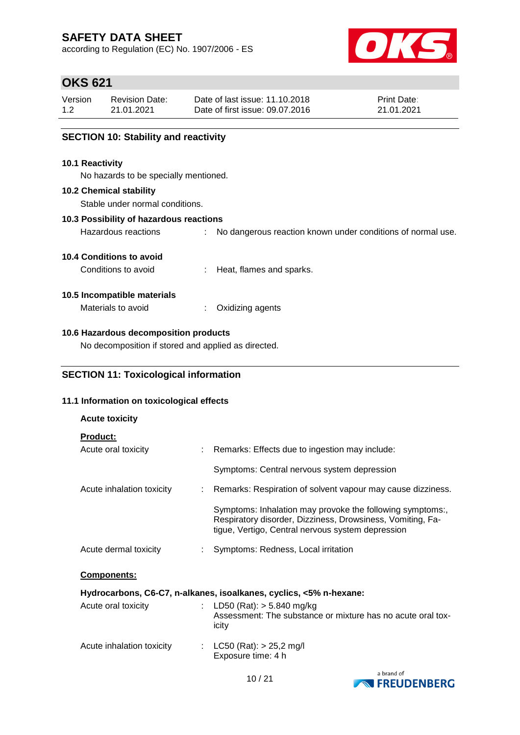according to Regulation (EC) No. 1907/2006 - ES



# **OKS 621**

| Version | <b>Revision Date:</b> | Date of last issue: 11.10.2018  | <b>Print Date:</b> |
|---------|-----------------------|---------------------------------|--------------------|
| 1.2     | 21.01.2021            | Date of first issue: 09.07.2016 | 21.01.2021         |

### **SECTION 10: Stability and reactivity**

### **10.1 Reactivity**

No hazards to be specially mentioned.

### **10.2 Chemical stability**

Stable under normal conditions.

### **10.3 Possibility of hazardous reactions**

Hazardous reactions : No dangerous reaction known under conditions of normal use.

### **10.4 Conditions to avoid**

Conditions to avoid : Heat, flames and sparks.

### **10.5 Incompatible materials**

**Acute toxicity**

Materials to avoid : Oxidizing agents

### **10.6 Hazardous decomposition products**

No decomposition if stored and applied as directed.

### **SECTION 11: Toxicological information**

### **11.1 Information on toxicological effects**

| <b>HOULD LOAIVILY</b>           |                                                                                                                                                                              |
|---------------------------------|------------------------------------------------------------------------------------------------------------------------------------------------------------------------------|
| <b>Product:</b>                 |                                                                                                                                                                              |
| Acute oral toxicity             | : Remarks: Effects due to ingestion may include:                                                                                                                             |
|                                 | Symptoms: Central nervous system depression                                                                                                                                  |
| Acute inhalation toxicity       | : Remarks: Respiration of solvent vapour may cause dizziness.                                                                                                                |
|                                 | Symptoms: Inhalation may provoke the following symptoms:,<br>Respiratory disorder, Dizziness, Drowsiness, Vomiting, Fa-<br>tigue, Vertigo, Central nervous system depression |
| Acute dermal toxicity           | : Symptoms: Redness, Local irritation                                                                                                                                        |
| Components:                     |                                                                                                                                                                              |
|                                 | Hydrocarbons, C6-C7, n-alkanes, isoalkanes, cyclics, <5% n-hexane:                                                                                                           |
| Acute oral toxicity             | : LD50 (Rat): $>$ 5.840 mg/kg<br>Assessment: The substance or mixture has no acute oral tox-<br>icity                                                                        |
| Acute inhalation toxicity<br>÷. | LC50 (Rat): $> 25,2$ mg/l<br>Exposure time: 4 h                                                                                                                              |

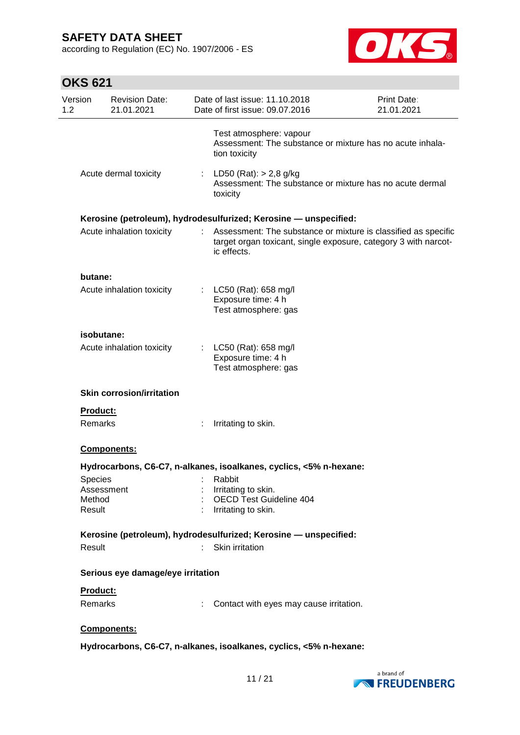according to Regulation (EC) No. 1907/2006 - ES



| Version<br>1.2 | <b>Revision Date:</b><br>21.01.2021                                                                                                                                                                                                |                  | Date of last issue: 11.10.2018<br>Date of first issue: 09.07.2016                                                                                | <b>Print Date:</b><br>21.01.2021 |
|----------------|------------------------------------------------------------------------------------------------------------------------------------------------------------------------------------------------------------------------------------|------------------|--------------------------------------------------------------------------------------------------------------------------------------------------|----------------------------------|
|                |                                                                                                                                                                                                                                    |                  | Test atmosphere: vapour<br>Assessment: The substance or mixture has no acute inhala-<br>tion toxicity                                            |                                  |
|                | Acute dermal toxicity                                                                                                                                                                                                              | $\mathbb{Z}^n$ . | LD50 (Rat): $> 2,8$ g/kg<br>Assessment: The substance or mixture has no acute dermal<br>toxicity                                                 |                                  |
|                |                                                                                                                                                                                                                                    |                  | Kerosine (petroleum), hydrodesulfurized; Kerosine - unspecified:                                                                                 |                                  |
|                | Acute inhalation toxicity                                                                                                                                                                                                          |                  | Assessment: The substance or mixture is classified as specific<br>target organ toxicant, single exposure, category 3 with narcot-<br>ic effects. |                                  |
| butane:        |                                                                                                                                                                                                                                    |                  |                                                                                                                                                  |                                  |
|                | Acute inhalation toxicity                                                                                                                                                                                                          |                  | : LC50 (Rat): 658 mg/l<br>Exposure time: 4 h<br>Test atmosphere: gas                                                                             |                                  |
|                | isobutane:                                                                                                                                                                                                                         |                  |                                                                                                                                                  |                                  |
|                | Acute inhalation toxicity                                                                                                                                                                                                          | t.               | LC50 (Rat): 658 mg/l<br>Exposure time: 4 h<br>Test atmosphere: gas                                                                               |                                  |
|                | <b>Skin corrosion/irritation</b>                                                                                                                                                                                                   |                  |                                                                                                                                                  |                                  |
| Product:       |                                                                                                                                                                                                                                    |                  |                                                                                                                                                  |                                  |
| Remarks        |                                                                                                                                                                                                                                    |                  | Irritating to skin.                                                                                                                              |                                  |
|                | Components:                                                                                                                                                                                                                        |                  |                                                                                                                                                  |                                  |
|                |                                                                                                                                                                                                                                    |                  | Hydrocarbons, C6-C7, n-alkanes, isoalkanes, cyclics, <5% n-hexane:                                                                               |                                  |
| Species        | <b>Example 1</b> Service 2 Service 2 Service 2 Service 2 Service 2 Service 2 Service 2 Service 2 Service 2 Service 2 Service 2 Service 2 Service 2 Service 2 Service 2 Service 2 Service 2 Service 2 Service 2 Service 2 Service 2 |                  |                                                                                                                                                  |                                  |
| Method         | Assessment                                                                                                                                                                                                                         |                  | Irritating to skin.<br>: OECD Test Guideline 404                                                                                                 |                                  |
| Result         |                                                                                                                                                                                                                                    |                  | : Irritating to skin.                                                                                                                            |                                  |
|                |                                                                                                                                                                                                                                    |                  | Kerosine (petroleum), hydrodesulfurized; Kerosine - unspecified:                                                                                 |                                  |
| Result         |                                                                                                                                                                                                                                    |                  | Skin irritation                                                                                                                                  |                                  |
|                | Serious eye damage/eye irritation                                                                                                                                                                                                  |                  |                                                                                                                                                  |                                  |
| Product:       |                                                                                                                                                                                                                                    |                  |                                                                                                                                                  |                                  |
| Remarks        |                                                                                                                                                                                                                                    |                  | Contact with eyes may cause irritation.                                                                                                          |                                  |
|                | Components:                                                                                                                                                                                                                        |                  |                                                                                                                                                  |                                  |
|                |                                                                                                                                                                                                                                    |                  | Hydrocarbons, C6-C7, n-alkanes, isoalkanes, cyclics, <5% n-hexane:                                                                               |                                  |
|                |                                                                                                                                                                                                                                    |                  |                                                                                                                                                  |                                  |

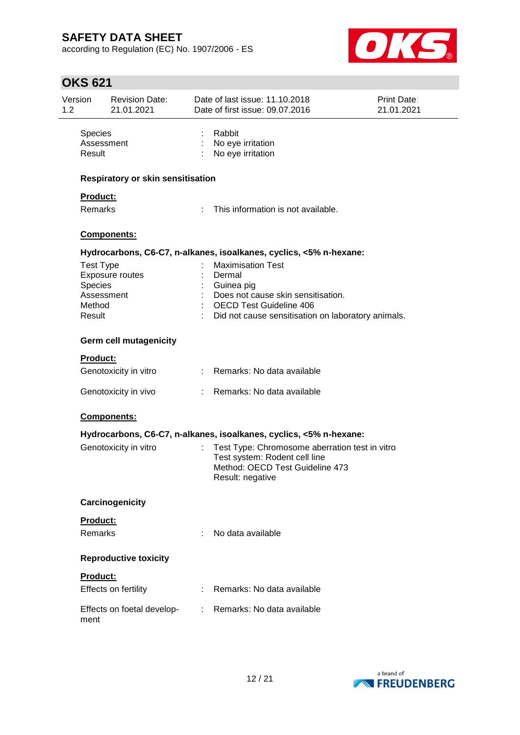according to Regulation (EC) No. 1907/2006 - ES



| Version<br>1.2           | <b>Revision Date:</b><br>21.01.2021      |                                                                                                                                                                                                                                                                                                                                                                                                                               | Date of last issue: 11.10.2018<br>Date of first issue: 09.07.2016                                                                      | Print Date:<br>21.01.2021 |
|--------------------------|------------------------------------------|-------------------------------------------------------------------------------------------------------------------------------------------------------------------------------------------------------------------------------------------------------------------------------------------------------------------------------------------------------------------------------------------------------------------------------|----------------------------------------------------------------------------------------------------------------------------------------|---------------------------|
| <b>Species</b><br>Result | Assessment                               |                                                                                                                                                                                                                                                                                                                                                                                                                               | Rabbit<br>No eye irritation<br>No eye irritation                                                                                       |                           |
|                          | <b>Respiratory or skin sensitisation</b> |                                                                                                                                                                                                                                                                                                                                                                                                                               |                                                                                                                                        |                           |
| <b>Product:</b>          |                                          |                                                                                                                                                                                                                                                                                                                                                                                                                               |                                                                                                                                        |                           |
| Remarks                  |                                          | ÷                                                                                                                                                                                                                                                                                                                                                                                                                             | This information is not available.                                                                                                     |                           |
|                          | Components:                              |                                                                                                                                                                                                                                                                                                                                                                                                                               |                                                                                                                                        |                           |
|                          |                                          |                                                                                                                                                                                                                                                                                                                                                                                                                               | Hydrocarbons, C6-C7, n-alkanes, isoalkanes, cyclics, <5% n-hexane:                                                                     |                           |
| <b>Test Type</b>         |                                          |                                                                                                                                                                                                                                                                                                                                                                                                                               | <b>Maximisation Test</b>                                                                                                               |                           |
|                          | Exposure routes                          |                                                                                                                                                                                                                                                                                                                                                                                                                               | Dermal                                                                                                                                 |                           |
| Species                  |                                          |                                                                                                                                                                                                                                                                                                                                                                                                                               | Guinea pig                                                                                                                             |                           |
|                          | Assessment                               |                                                                                                                                                                                                                                                                                                                                                                                                                               | Does not cause skin sensitisation.                                                                                                     |                           |
| Method<br>Result         |                                          |                                                                                                                                                                                                                                                                                                                                                                                                                               | <b>OECD Test Guideline 406</b><br>Did not cause sensitisation on laboratory animals.                                                   |                           |
|                          | <b>Germ cell mutagenicity</b>            |                                                                                                                                                                                                                                                                                                                                                                                                                               |                                                                                                                                        |                           |
| <b>Product:</b>          |                                          |                                                                                                                                                                                                                                                                                                                                                                                                                               |                                                                                                                                        |                           |
|                          | Genotoxicity in vitro                    |                                                                                                                                                                                                                                                                                                                                                                                                                               | : Remarks: No data available                                                                                                           |                           |
|                          | Genotoxicity in vivo                     |                                                                                                                                                                                                                                                                                                                                                                                                                               | : Remarks: No data available                                                                                                           |                           |
|                          | Components:                              |                                                                                                                                                                                                                                                                                                                                                                                                                               |                                                                                                                                        |                           |
|                          |                                          |                                                                                                                                                                                                                                                                                                                                                                                                                               | Hydrocarbons, C6-C7, n-alkanes, isoalkanes, cyclics, <5% n-hexane:                                                                     |                           |
|                          | Genotoxicity in vitro                    |                                                                                                                                                                                                                                                                                                                                                                                                                               | Test Type: Chromosome aberration test in vitro<br>Test system: Rodent cell line<br>Method: OECD Test Guideline 473<br>Result: negative |                           |
|                          | Carcinogenicity                          |                                                                                                                                                                                                                                                                                                                                                                                                                               |                                                                                                                                        |                           |
| Product:                 |                                          |                                                                                                                                                                                                                                                                                                                                                                                                                               |                                                                                                                                        |                           |
| Remarks                  |                                          |                                                                                                                                                                                                                                                                                                                                                                                                                               | No data available                                                                                                                      |                           |
|                          | <b>Reproductive toxicity</b>             |                                                                                                                                                                                                                                                                                                                                                                                                                               |                                                                                                                                        |                           |
| <b>Product:</b>          |                                          |                                                                                                                                                                                                                                                                                                                                                                                                                               |                                                                                                                                        |                           |
|                          | Effects on fertility                     |                                                                                                                                                                                                                                                                                                                                                                                                                               | Remarks: No data available                                                                                                             |                           |
| ment                     | Effects on foetal develop-               | $\mathcal{I}^{\mathcal{I}^{\mathcal{I}^{\mathcal{I}^{\mathcal{I}^{\mathcal{I}^{\mathcal{I}^{\mathcal{I}^{\mathcal{I}^{\mathcal{I}^{\mathcal{I}^{\mathcal{I}^{\mathcal{I}^{\mathcal{I}^{\mathcal{I}^{\mathcal{I}^{\mathcal{I}^{\mathcal{I}^{\mathcal{I}^{\mathcal{I}^{\mathcal{I}^{\mathcal{I}^{\mathcal{I}^{\mathcal{I}^{\mathcal{I}^{\mathcal{I}^{\mathcal{I}^{\mathcal{I}^{\mathcal{I}^{\mathcal{I}^{\mathcal{I}^{\mathcal$ | Remarks: No data available                                                                                                             |                           |

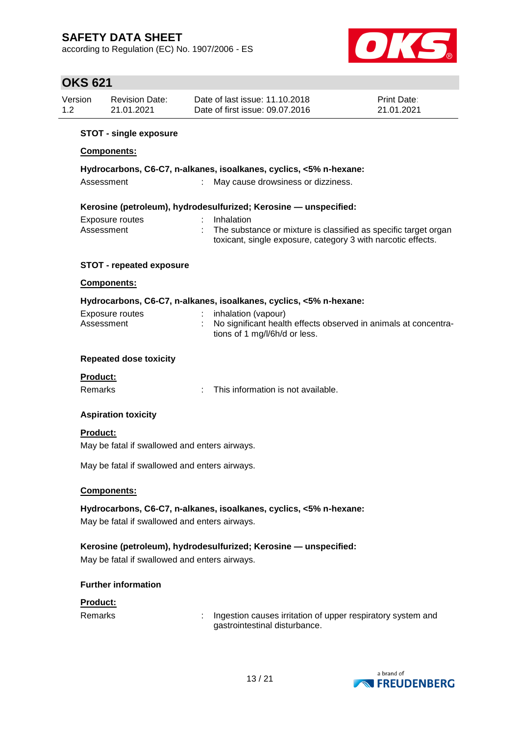according to Regulation (EC) No. 1907/2006 - ES



## **OKS 621**

| Version | <b>Revision Date:</b> | Date of last issue: 11.10.2018  | <b>Print Date:</b> |
|---------|-----------------------|---------------------------------|--------------------|
| 1.2     | 21.01.2021            | Date of first issue: 09.07.2016 | 21.01.2021         |
|         |                       |                                 |                    |

### **STOT - single exposure**

### **Components:**

### **Hydrocarbons, C6-C7, n-alkanes, isoalkanes, cyclics, <5% n-hexane:**

| Assessment |  | May cause drowsiness or dizziness. |
|------------|--|------------------------------------|
|------------|--|------------------------------------|

### **Kerosine (petroleum), hydrodesulfurized; Kerosine — unspecified:**

| Exposure routes | Inhalation                                                      |
|-----------------|-----------------------------------------------------------------|
| Assessment      | The substance or mixture is classified as specific target organ |
|                 | toxicant, single exposure, category 3 with narcotic effects.    |

### **STOT - repeated exposure**

### **Components:**

### **Hydrocarbons, C6-C7, n-alkanes, isoalkanes, cyclics, <5% n-hexane:**

| Exposure routes<br>Assessment | inhalation (vapour)<br>No significant health effects observed in animals at concentra- |
|-------------------------------|----------------------------------------------------------------------------------------|
|                               | tions of 1 mg/l/6h/d or less.                                                          |

### **Repeated dose toxicity**

### **Product:**

Remarks : This information is not available.

### **Aspiration toxicity**

### **Product:**

May be fatal if swallowed and enters airways.

May be fatal if swallowed and enters airways.

### **Components:**

**Hydrocarbons, C6-C7, n-alkanes, isoalkanes, cyclics, <5% n-hexane:** May be fatal if swallowed and enters airways.

### **Kerosine (petroleum), hydrodesulfurized; Kerosine — unspecified:**

May be fatal if swallowed and enters airways.

### **Further information**

#### **Product:**

Remarks : Ingestion causes irritation of upper respiratory system and gastrointestinal disturbance.

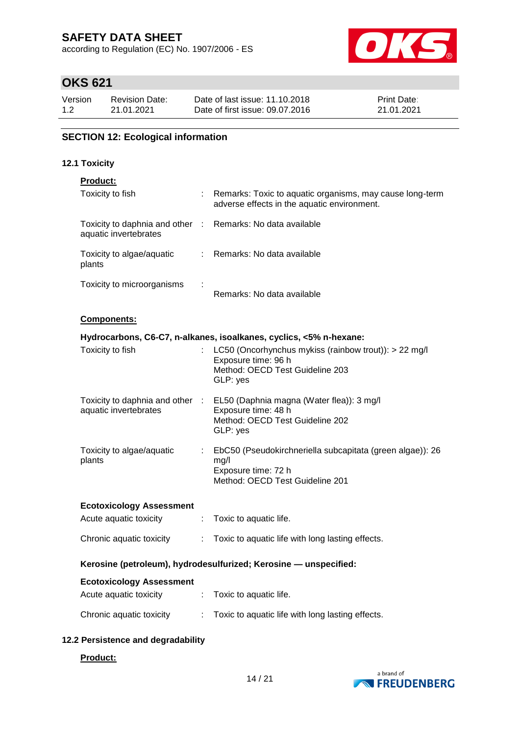according to Regulation (EC) No. 1907/2006 - ES



# **OKS 621**

| Version | <b>Revision Date:</b> | Date of last issue: 11.10.2018  | <b>Print Date:</b> |
|---------|-----------------------|---------------------------------|--------------------|
| 1.2     | 21.01.2021            | Date of first issue: 09.07.2016 | 21.01.2021         |

### **SECTION 12: Ecological information**

### **12.1 Toxicity**

| oduc' |  |
|-------|--|
|       |  |

| .<br>Toxicity to fish                                            |    | Remarks: Toxic to aquatic organisms, may cause long-term<br>adverse effects in the aquatic environment.                                                                                           |  |  |
|------------------------------------------------------------------|----|---------------------------------------------------------------------------------------------------------------------------------------------------------------------------------------------------|--|--|
| Toxicity to daphnia and other :<br>aquatic invertebrates         |    | Remarks: No data available                                                                                                                                                                        |  |  |
| Toxicity to algae/aquatic<br>plants                              |    | Remarks: No data available                                                                                                                                                                        |  |  |
| Toxicity to microorganisms                                       |    | Remarks: No data available                                                                                                                                                                        |  |  |
| Components:                                                      |    |                                                                                                                                                                                                   |  |  |
| Toxicity to fish                                                 |    | Hydrocarbons, C6-C7, n-alkanes, isoalkanes, cyclics, <5% n-hexane:<br>LC50 (Oncorhynchus mykiss (rainbow trout)): > 22 mg/l<br>Exposure time: 96 h<br>Method: OECD Test Guideline 203<br>GLP: yes |  |  |
| Toxicity to daphnia and other :<br>aquatic invertebrates         |    | EL50 (Daphnia magna (Water flea)): 3 mg/l<br>Exposure time: 48 h<br>Method: OECD Test Guideline 202<br>GLP: yes                                                                                   |  |  |
| Toxicity to algae/aquatic<br>plants                              | t. | EbC50 (Pseudokirchneriella subcapitata (green algae)): 26<br>mg/l<br>Exposure time: 72 h<br>Method: OECD Test Guideline 201                                                                       |  |  |
| <b>Ecotoxicology Assessment</b>                                  |    |                                                                                                                                                                                                   |  |  |
| Acute aquatic toxicity                                           | ÷. | Toxic to aquatic life.                                                                                                                                                                            |  |  |
| Chronic aquatic toxicity                                         | ÷. | Toxic to aquatic life with long lasting effects.                                                                                                                                                  |  |  |
| Kerosine (petroleum), hydrodesulfurized; Kerosine - unspecified: |    |                                                                                                                                                                                                   |  |  |
| <b>Ecotoxicology Assessment</b>                                  |    |                                                                                                                                                                                                   |  |  |
| Acute aquatic toxicity                                           |    | : Toxic to aquatic life.                                                                                                                                                                          |  |  |
| Chronic aquatic toxicity                                         |    | Toxic to aquatic life with long lasting effects.                                                                                                                                                  |  |  |

### **12.2 Persistence and degradability**

### **Product:**

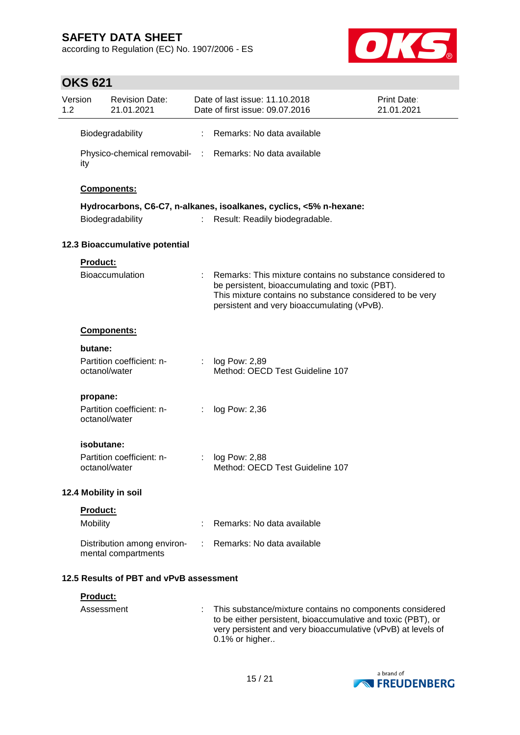according to Regulation (EC) No. 1907/2006 - ES



| 1.2                                     | Version         | <b>Revision Date:</b><br>21.01.2021                |    | Date of last issue: 11.10.2018<br>Date of first issue: 09.07.2016                                                                                                                                                       | Print Date:<br>21.01.2021 |
|-----------------------------------------|-----------------|----------------------------------------------------|----|-------------------------------------------------------------------------------------------------------------------------------------------------------------------------------------------------------------------------|---------------------------|
|                                         |                 | Biodegradability                                   |    | Remarks: No data available                                                                                                                                                                                              |                           |
|                                         | ity             |                                                    |    | Physico-chemical removabil- : Remarks: No data available                                                                                                                                                                |                           |
|                                         |                 | Components:                                        |    |                                                                                                                                                                                                                         |                           |
|                                         |                 |                                                    |    | Hydrocarbons, C6-C7, n-alkanes, isoalkanes, cyclics, <5% n-hexane:                                                                                                                                                      |                           |
|                                         |                 | Biodegradability                                   |    | Result: Readily biodegradable.                                                                                                                                                                                          |                           |
|                                         |                 | 12.3 Bioaccumulative potential                     |    |                                                                                                                                                                                                                         |                           |
|                                         | <b>Product:</b> |                                                    |    |                                                                                                                                                                                                                         |                           |
|                                         |                 | Bioaccumulation                                    |    | Remarks: This mixture contains no substance considered to<br>be persistent, bioaccumulating and toxic (PBT).<br>This mixture contains no substance considered to be very<br>persistent and very bioaccumulating (vPvB). |                           |
|                                         |                 | Components:                                        |    |                                                                                                                                                                                                                         |                           |
|                                         | butane:         |                                                    |    |                                                                                                                                                                                                                         |                           |
|                                         |                 | Partition coefficient: n-<br>octanol/water         |    | : $log Pow: 2,89$<br>Method: OECD Test Guideline 107                                                                                                                                                                    |                           |
|                                         | propane:        |                                                    |    |                                                                                                                                                                                                                         |                           |
|                                         |                 | Partition coefficient: n-<br>octanol/water         | ÷  | log Pow: 2,36                                                                                                                                                                                                           |                           |
|                                         | isobutane:      |                                                    |    |                                                                                                                                                                                                                         |                           |
|                                         |                 | Partition coefficient: n-<br>octanol/water         | t. | log Pow: 2,88<br>Method: OECD Test Guideline 107                                                                                                                                                                        |                           |
|                                         |                 | 12.4 Mobility in soil                              |    |                                                                                                                                                                                                                         |                           |
|                                         | <b>Product:</b> |                                                    |    |                                                                                                                                                                                                                         |                           |
|                                         | Mobility        |                                                    |    | Remarks: No data available                                                                                                                                                                                              |                           |
|                                         |                 | Distribution among environ-<br>mental compartments |    | Remarks: No data available                                                                                                                                                                                              |                           |
| 12.5 Results of PBT and vPvB assessment |                 |                                                    |    |                                                                                                                                                                                                                         |                           |
|                                         | Product:        |                                                    |    |                                                                                                                                                                                                                         |                           |
|                                         | Assessment      |                                                    |    | This substance/mixture contains no components considered                                                                                                                                                                |                           |

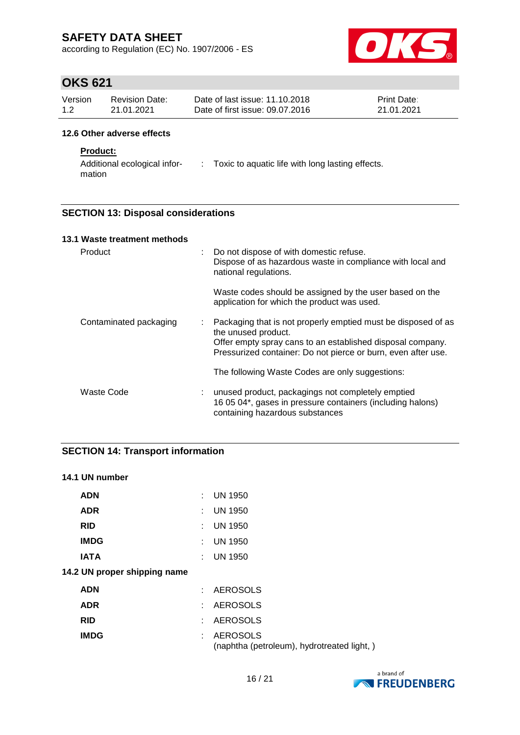according to Regulation (EC) No. 1907/2006 - ES



# **OKS 621**

| Version | Revision Date: | Date of last issue: 11.10.2018  | <b>Print Date:</b> |
|---------|----------------|---------------------------------|--------------------|
| 1.2     | 21.01.2021     | Date of first issue: 09.07.2016 | 21.01.2021         |

### **12.6 Other adverse effects**

### **Product:**

Additional ecological infor- : Toxic to aquatic life with long lasting effects. mation

### **SECTION 13: Disposal considerations**

| 13.1 Waste treatment methods |                            |                                                                                                                                                                                                                     |  |
|------------------------------|----------------------------|---------------------------------------------------------------------------------------------------------------------------------------------------------------------------------------------------------------------|--|
| Product                      | $\mathcal{L}^{\text{max}}$ | Do not dispose of with domestic refuse.<br>Dispose of as hazardous waste in compliance with local and<br>national regulations.                                                                                      |  |
|                              |                            | Waste codes should be assigned by the user based on the<br>application for which the product was used.                                                                                                              |  |
| Contaminated packaging       | ÷.                         | Packaging that is not properly emptied must be disposed of as<br>the unused product.<br>Offer empty spray cans to an established disposal company.<br>Pressurized container: Do not pierce or burn, even after use. |  |
|                              |                            | The following Waste Codes are only suggestions:                                                                                                                                                                     |  |
| Waste Code                   |                            | unused product, packagings not completely emptied<br>16 05 04*, gases in pressure containers (including halons)<br>containing hazardous substances                                                                  |  |

### **SECTION 14: Transport information**

### **14.1 UN number**

| <b>ADN</b>                   | × 1 | <b>UN 1950</b>                                                |
|------------------------------|-----|---------------------------------------------------------------|
| <b>ADR</b>                   | t.  | <b>UN 1950</b>                                                |
| <b>RID</b>                   |     | <b>UN 1950</b>                                                |
| <b>IMDG</b>                  |     | <b>UN 1950</b>                                                |
| <b>IATA</b>                  |     | $:$ UN 1950                                                   |
| 14.2 UN proper shipping name |     |                                                               |
| <b>ADN</b>                   | ٠.  | <b>AEROSOLS</b>                                               |
| <b>ADR</b>                   | ÷.  | <b>AEROSOLS</b>                                               |
| <b>RID</b>                   |     | <b>AEROSOLS</b>                                               |
| <b>IMDG</b>                  |     | <b>AEROSOLS</b><br>(naphtha (petroleum), hydrotreated light,) |

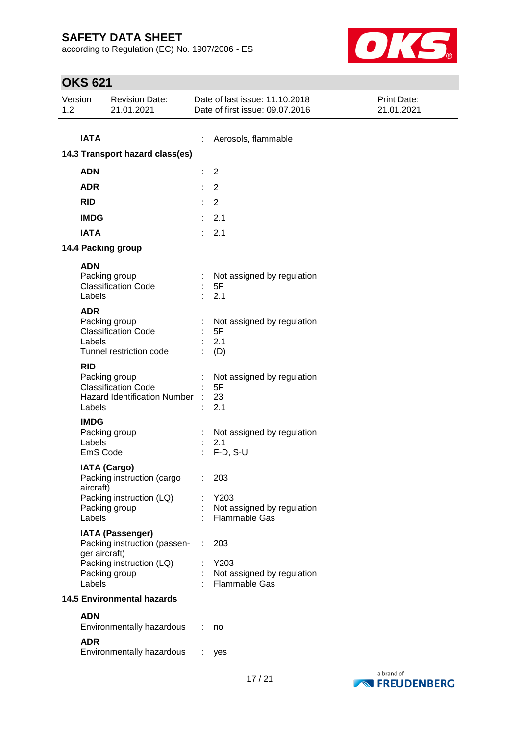according to Regulation (EC) No. 1907/2006 - ES



| Version<br>1.2        | <b>Revision Date:</b><br>21.01.2021                                                |                | Date of last issue: 11.10.2018<br>Date of first issue: 09.07.2016 | Print Date:<br>21.01.2021 |  |
|-----------------------|------------------------------------------------------------------------------------|----------------|-------------------------------------------------------------------|---------------------------|--|
| <b>IATA</b>           | 14.3 Transport hazard class(es)                                                    |                | Aerosols, flammable                                               |                           |  |
| <b>ADN</b>            |                                                                                    | $\overline{2}$ |                                                                   |                           |  |
| <b>ADR</b>            |                                                                                    | 2              |                                                                   |                           |  |
| <b>RID</b>            |                                                                                    | $\overline{2}$ |                                                                   |                           |  |
| <b>IMDG</b>           |                                                                                    |                | 2.1                                                               |                           |  |
| <b>IATA</b>           |                                                                                    | ×.             | 2.1                                                               |                           |  |
|                       | 14.4 Packing group                                                                 |                |                                                                   |                           |  |
| <b>ADN</b><br>Labels  | Packing group<br><b>Classification Code</b>                                        | $\bullet$      | Not assigned by regulation<br>5F<br>2.1                           |                           |  |
| <b>ADR</b><br>Labels  | Packing group<br><b>Classification Code</b><br>Tunnel restriction code             |                | Not assigned by regulation<br>5F<br>2.1<br>(D)                    |                           |  |
| <b>RID</b><br>Labels  | Packing group<br><b>Classification Code</b><br><b>Hazard Identification Number</b> |                | Not assigned by regulation<br>5F<br>23<br>2.1                     |                           |  |
| <b>IMDG</b><br>Labels | Packing group<br>EmS Code                                                          |                | Not assigned by regulation<br>2.1<br>F-D, S-U                     |                           |  |
| aircraft)             | <b>IATA (Cargo)</b><br>Packing instruction (cargo<br>Packing instruction (LQ)      |                | 203<br>Y203                                                       |                           |  |
| Labels                | Packing group                                                                      |                | Not assigned by regulation<br><b>Flammable Gas</b>                |                           |  |
|                       | <b>IATA (Passenger)</b><br>Packing instruction (passen-<br>ger aircraft)           |                | 203                                                               |                           |  |
| Labels                | Packing instruction (LQ)<br>Packing group                                          |                | Y203<br>Not assigned by regulation<br>Flammable Gas               |                           |  |
|                       | <b>14.5 Environmental hazards</b>                                                  |                |                                                                   |                           |  |
| <b>ADN</b>            | Environmentally hazardous                                                          |                | no                                                                |                           |  |
| <b>ADR</b>            | Environmentally hazardous                                                          |                | yes                                                               |                           |  |

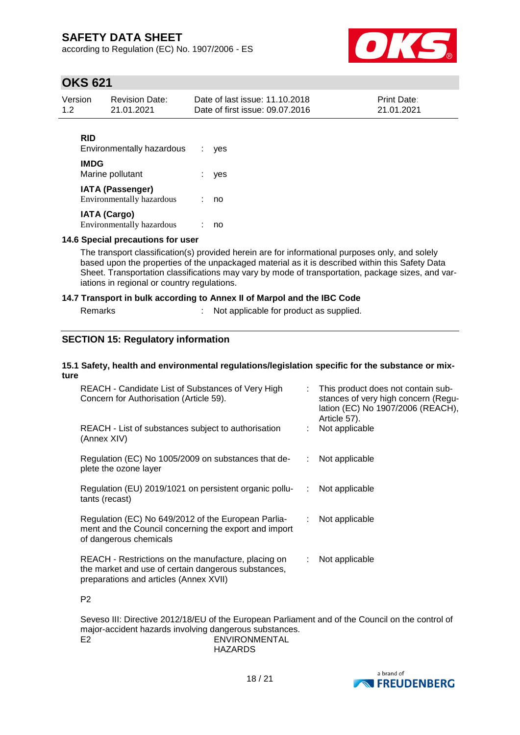according to Regulation (EC) No. 1907/2006 - ES



# **OKS 621**

| Version | <b>Revision Date:</b> | Date of last issue: 11.10.2018  | <b>Print Date:</b> |
|---------|-----------------------|---------------------------------|--------------------|
| 1.2     | 21.01.2021            | Date of first issue: 09.07.2016 | 21.01.2021         |
|         |                       |                                 |                    |

| RID<br>Environmentally hazardous                        | ves |
|---------------------------------------------------------|-----|
| <b>IMDG</b><br>Marine pollutant                         | yes |
| <b>IATA (Passenger)</b><br>Environmentally hazardous    | no  |
| <b>IATA (Cargo)</b><br><b>Environmentally hazardous</b> | no  |

### **14.6 Special precautions for user**

The transport classification(s) provided herein are for informational purposes only, and solely based upon the properties of the unpackaged material as it is described within this Safety Data Sheet. Transportation classifications may vary by mode of transportation, package sizes, and variations in regional or country regulations.

### **14.7 Transport in bulk according to Annex II of Marpol and the IBC Code**

| Remarks | Not applicable for product as supplied. |
|---------|-----------------------------------------|
|         |                                         |

### **SECTION 15: Regulatory information**

#### **15.1 Safety, health and environmental regulations/legislation specific for the substance or mixture**

| REACH - Candidate List of Substances of Very High<br>Concern for Authorisation (Article 59).                                                         | Article 57).     | : This product does not contain sub-<br>stances of very high concern (Regu-<br>lation (EC) No 1907/2006 (REACH), |
|------------------------------------------------------------------------------------------------------------------------------------------------------|------------------|------------------------------------------------------------------------------------------------------------------|
| REACH - List of substances subject to authorisation<br>(Annex XIV)                                                                                   | : Not applicable |                                                                                                                  |
| Regulation (EC) No 1005/2009 on substances that de-<br>plete the ozone layer                                                                         |                  | Not applicable                                                                                                   |
| Regulation (EU) 2019/1021 on persistent organic pollu-<br>tants (recast)                                                                             | ÷.               | Not applicable                                                                                                   |
| Regulation (EC) No 649/2012 of the European Parlia-<br>ment and the Council concerning the export and import<br>of dangerous chemicals               | : Not applicable |                                                                                                                  |
| REACH - Restrictions on the manufacture, placing on<br>the market and use of certain dangerous substances,<br>preparations and articles (Annex XVII) | : Not applicable |                                                                                                                  |

P2

Seveso III: Directive 2012/18/EU of the European Parliament and of the Council on the control of major-accident hazards involving dangerous substances. E2 ENVIRONMENTAL HAZARDS

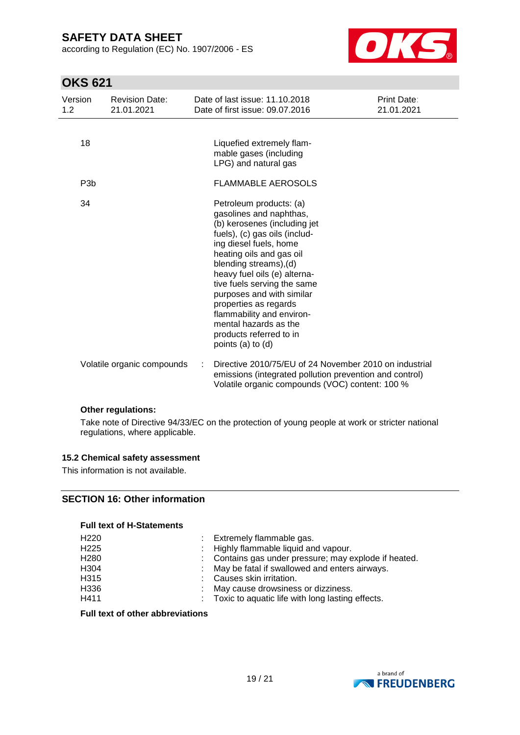according to Regulation (EC) No. 1907/2006 - ES



# **OKS 621**

| Version<br>1.2   | <b>Revision Date:</b><br>21.01.2021 | Date of last issue: 11.10.2018<br>Date of first issue: 09.07.2016                                                                                                                                                                                                                                                                                                                                                              | Print Date:<br>21.01.2021 |
|------------------|-------------------------------------|--------------------------------------------------------------------------------------------------------------------------------------------------------------------------------------------------------------------------------------------------------------------------------------------------------------------------------------------------------------------------------------------------------------------------------|---------------------------|
| 18               |                                     | Liquefied extremely flam-<br>mable gases (including<br>LPG) and natural gas                                                                                                                                                                                                                                                                                                                                                    |                           |
| P <sub>3</sub> b |                                     | <b>FLAMMABLE AEROSOLS</b>                                                                                                                                                                                                                                                                                                                                                                                                      |                           |
| 34               |                                     | Petroleum products: (a)<br>gasolines and naphthas,<br>(b) kerosenes (including jet<br>fuels), (c) gas oils (includ-<br>ing diesel fuels, home<br>heating oils and gas oil<br>blending streams), (d)<br>heavy fuel oils (e) alterna-<br>tive fuels serving the same<br>purposes and with similar<br>properties as regards<br>flammability and environ-<br>mental hazards as the<br>products referred to in<br>points (a) to (d) |                           |
|                  | Volatile organic compounds          | Directive 2010/75/EU of 24 November 2010 on industrial<br>emissions (integrated pollution prevention and control)<br>Volatile organic compounds (VOC) content: 100 %                                                                                                                                                                                                                                                           |                           |

### **Other regulations:**

Take note of Directive 94/33/EC on the protection of young people at work or stricter national regulations, where applicable.

### **15.2 Chemical safety assessment**

This information is not available.

### **SECTION 16: Other information**

### **Full text of H-Statements**

| H <sub>220</sub> | : Extremely flammable gas.                            |
|------------------|-------------------------------------------------------|
| H <sub>225</sub> | : Highly flammable liquid and vapour.                 |
| H <sub>280</sub> | : Contains gas under pressure; may explode if heated. |
| H <sub>304</sub> | : May be fatal if swallowed and enters airways.       |
| H315             | : Causes skin irritation.                             |
| H <sub>336</sub> | : May cause drowsiness or dizziness.                  |
| H411             | : Toxic to aquatic life with long lasting effects.    |
|                  |                                                       |

### **Full text of other abbreviations**

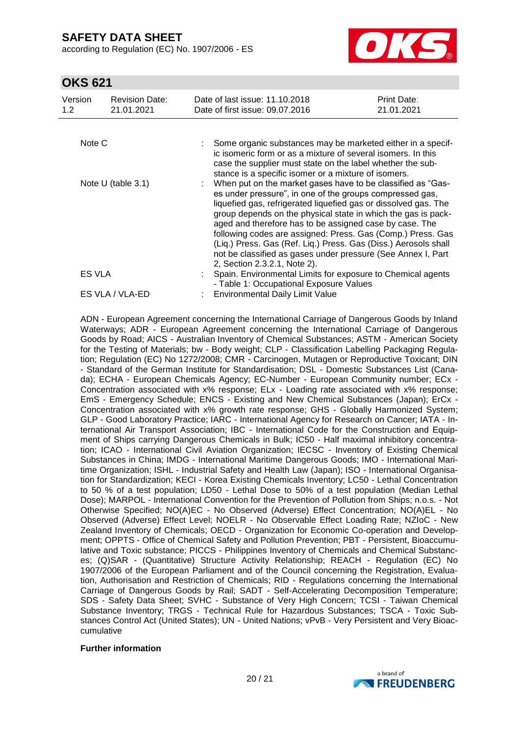according to Regulation (EC) No. 1907/2006 - ES



## **OKS 621**

| Version<br>1.2 <sub>1</sub> | <b>Revision Date:</b><br>21.01.2021 | Date of last issue: 11.10.2018<br>Date of first issue: 09.07.2016                                                                                                                                                                                                                                                                                                                                                                                                                                                                                        | <b>Print Date:</b><br>21.01.2021 |
|-----------------------------|-------------------------------------|----------------------------------------------------------------------------------------------------------------------------------------------------------------------------------------------------------------------------------------------------------------------------------------------------------------------------------------------------------------------------------------------------------------------------------------------------------------------------------------------------------------------------------------------------------|----------------------------------|
|                             |                                     |                                                                                                                                                                                                                                                                                                                                                                                                                                                                                                                                                          |                                  |
| Note C                      |                                     | Some organic substances may be marketed either in a specif-<br>ic isomeric form or as a mixture of several isomers. In this<br>case the supplier must state on the label whether the sub-<br>stance is a specific isomer or a mixture of isomers.                                                                                                                                                                                                                                                                                                        |                                  |
|                             | Note U (table $3.1$ )               | When put on the market gases have to be classified as "Gas-<br>es under pressure", in one of the groups compressed gas,<br>liquefied gas, refrigerated liquefied gas or dissolved gas. The<br>group depends on the physical state in which the gas is pack-<br>aged and therefore has to be assigned case by case. The<br>following codes are assigned: Press. Gas (Comp.) Press. Gas<br>(Liq.) Press. Gas (Ref. Liq.) Press. Gas (Diss.) Aerosols shall<br>not be classified as gases under pressure (See Annex I, Part<br>2, Section 2.3.2.1, Note 2). |                                  |
| <b>ES VLA</b>               |                                     | Spain. Environmental Limits for exposure to Chemical agents<br>- Table 1: Occupational Exposure Values                                                                                                                                                                                                                                                                                                                                                                                                                                                   |                                  |
|                             | ES VLA / VLA-ED                     | Environmental Daily Limit Value                                                                                                                                                                                                                                                                                                                                                                                                                                                                                                                          |                                  |

ADN - European Agreement concerning the International Carriage of Dangerous Goods by Inland Waterways; ADR - European Agreement concerning the International Carriage of Dangerous Goods by Road; AICS - Australian Inventory of Chemical Substances; ASTM - American Society for the Testing of Materials; bw - Body weight; CLP - Classification Labelling Packaging Regulation; Regulation (EC) No 1272/2008; CMR - Carcinogen, Mutagen or Reproductive Toxicant; DIN - Standard of the German Institute for Standardisation; DSL - Domestic Substances List (Canada); ECHA - European Chemicals Agency; EC-Number - European Community number; ECx - Concentration associated with x% response; ELx - Loading rate associated with x% response; EmS - Emergency Schedule; ENCS - Existing and New Chemical Substances (Japan); ErCx - Concentration associated with x% growth rate response; GHS - Globally Harmonized System; GLP - Good Laboratory Practice; IARC - International Agency for Research on Cancer; IATA - International Air Transport Association; IBC - International Code for the Construction and Equipment of Ships carrying Dangerous Chemicals in Bulk; IC50 - Half maximal inhibitory concentration; ICAO - International Civil Aviation Organization; IECSC - Inventory of Existing Chemical Substances in China; IMDG - International Maritime Dangerous Goods; IMO - International Maritime Organization; ISHL - Industrial Safety and Health Law (Japan); ISO - International Organisation for Standardization; KECI - Korea Existing Chemicals Inventory; LC50 - Lethal Concentration to 50 % of a test population; LD50 - Lethal Dose to 50% of a test population (Median Lethal Dose); MARPOL - International Convention for the Prevention of Pollution from Ships; n.o.s. - Not Otherwise Specified; NO(A)EC - No Observed (Adverse) Effect Concentration; NO(A)EL - No Observed (Adverse) Effect Level; NOELR - No Observable Effect Loading Rate; NZIoC - New Zealand Inventory of Chemicals; OECD - Organization for Economic Co-operation and Development; OPPTS - Office of Chemical Safety and Pollution Prevention; PBT - Persistent, Bioaccumulative and Toxic substance; PICCS - Philippines Inventory of Chemicals and Chemical Substances; (Q)SAR - (Quantitative) Structure Activity Relationship; REACH - Regulation (EC) No 1907/2006 of the European Parliament and of the Council concerning the Registration, Evaluation, Authorisation and Restriction of Chemicals; RID - Regulations concerning the International Carriage of Dangerous Goods by Rail; SADT - Self-Accelerating Decomposition Temperature; SDS - Safety Data Sheet; SVHC - Substance of Very High Concern; TCSI - Taiwan Chemical Substance Inventory; TRGS - Technical Rule for Hazardous Substances; TSCA - Toxic Substances Control Act (United States); UN - United Nations; vPvB - Very Persistent and Very Bioaccumulative

#### **Further information**